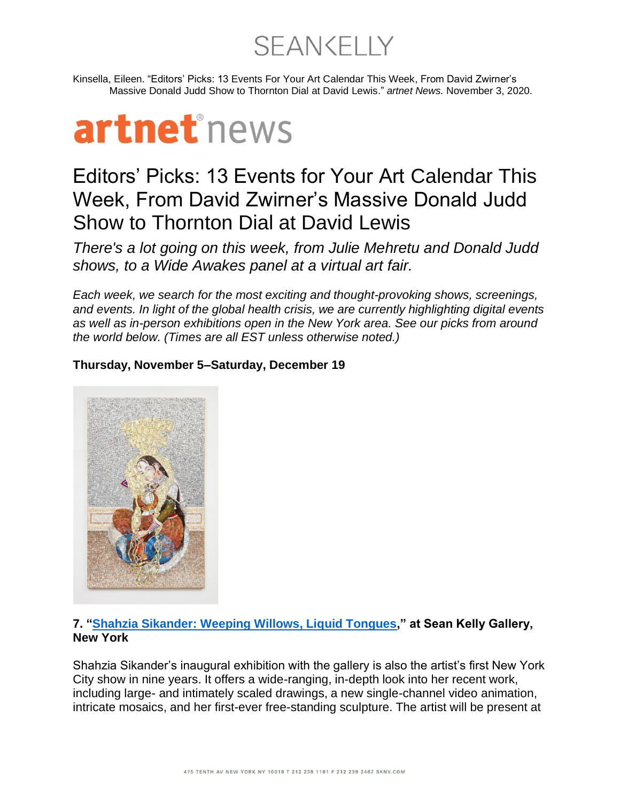**SEANKELLY** 

Kinsella, Eileen. "Editors' Picks: 13 Events For Your Art Calendar This Week, From David Zwirner's Massive Donald Judd Show to Thornton Dial at David Lewis." *artnet News.* November 3, 2020.

## artnet<sup>\*</sup>news

## Editors' Picks: 13 Events for Your Art Calendar This Week, From David Zwirner's Massive Donald Judd Show to Thornton Dial at David Lewis

*There's a lot going on this week, from Julie Mehretu and Donald Judd shows, to a Wide Awakes panel at a virtual art fair.*

*Each week, we search for the most exciting and thought-provoking shows, screenings, and events. In light of the global health crisis, we are currently highlighting digital events as well as in-person exhibitions open in the New York area. See our picks from around the world below. (Times are all EST unless otherwise noted.)*

## **Thursday, November 5–Saturday, December 19**



## **7. ["Shahzia Sikander: Weeping Willows, Liquid Tongues,](https://www.skny.com/exhibitions/shahzia-sikander)" at Sean Kelly Gallery, New York**

Shahzia Sikander's inaugural exhibition with the gallery is also the artist's first New York City show in nine years. It offers a wide-ranging, in-depth look into her recent work, including large- and intimately scaled drawings, a new single-channel video animation, intricate mosaics, and her first-ever free-standing sculpture. The artist will be present at